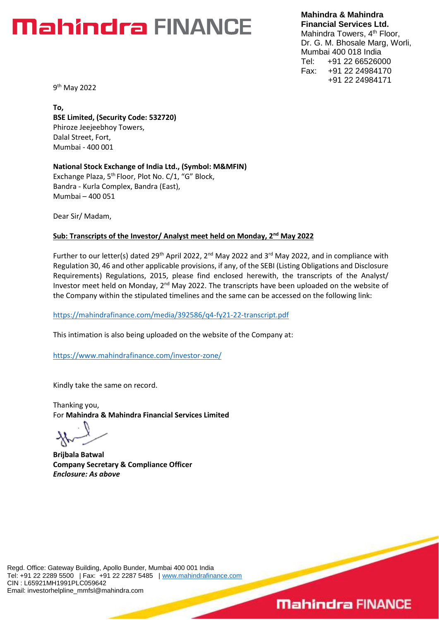**Mahindra & Mahindra Financial Services Ltd.** Mahindra Towers, 4<sup>th</sup> Floor, Dr. G. M. Bhosale Marg, Worli, Mumbai 400 018 India Tel: +91 22 66526000 Fax: +91 22 24984170 +91 22 24984171

9<sup>th</sup> May 2022

**To, BSE Limited, (Security Code: 532720)** Phiroze Jeejeebhoy Towers, Dalal Street, Fort, Mumbai - 400 001

**National Stock Exchange of India Ltd., (Symbol: M&MFIN)** Exchange Plaza, 5<sup>th</sup> Floor, Plot No. C/1, "G" Block, Bandra - Kurla Complex, Bandra (East), Mumbai – 400 051

Dear Sir/ Madam,

**Sub: Transcripts of the Investor/ Analyst meet held on Monday, 2 nd May 2022**

Further to our letter(s) dated 29<sup>th</sup> April 2022, 2<sup>nd</sup> May 2022 and 3<sup>rd</sup> May 2022, and in compliance with Regulation 30, 46 and other applicable provisions, if any, of the SEBI (Listing Obligations and Disclosure Requirements) Regulations, 2015, please find enclosed herewith, the transcripts of the Analyst/ Investor meet held on Monday, 2<sup>nd</sup> May 2022. The transcripts have been uploaded on the website of the Company within the stipulated timelines and the same can be accessed on the following link:

<https://mahindrafinance.com/media/392586/q4-fy21-22-transcript.pdf>

This intimation is also being uploaded on the website of the Company at:

<https://www.mahindrafinance.com/investor-zone/>

Kindly take the same on record.

Thanking you, For **Mahindra & Mahindra Financial Services Limited**

**Brijbala Batwal Company Secretary & Compliance Officer** Enclosure: As above